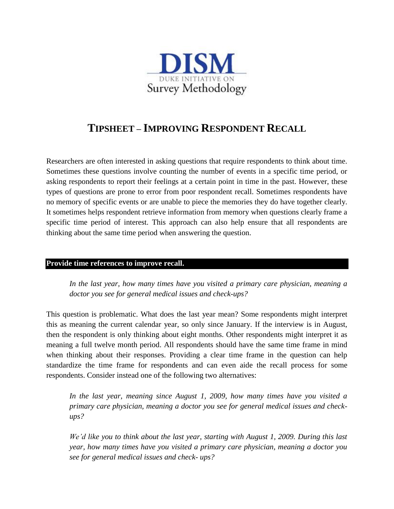

# **TIPSHEET – IMPROVING RESPONDENT RECALL**

Researchers are often interested in asking questions that require respondents to think about time. Sometimes these questions involve counting the number of events in a specific time period, or asking respondents to report their feelings at a certain point in time in the past. However, these types of questions are prone to error from poor respondent recall. Sometimes respondents have no memory of specific events or are unable to piece the memories they do have together clearly. It sometimes helps respondent retrieve information from memory when questions clearly frame a specific time period of interest. This approach can also help ensure that all respondents are thinking about the same time period when answering the question.

## **Provide time references to improve recall.**

*In the last year, how many times have you visited a primary care physician, meaning a doctor you see for general medical issues and check-ups?* 

This question is problematic. What does the last year mean? Some respondents might interpret this as meaning the current calendar year, so only since January. If the interview is in August, then the respondent is only thinking about eight months. Other respondents might interpret it as meaning a full twelve month period. All respondents should have the same time frame in mind when thinking about their responses. Providing a clear time frame in the question can help standardize the time frame for respondents and can even aide the recall process for some respondents. Consider instead one of the following two alternatives:

*In the last year, meaning since August 1, 2009, how many times have you visited a primary care physician, meaning a doctor you see for general medical issues and checkups?*

*We'd like you to think about the last year, starting with August 1, 2009. During this last year, how many times have you visited a primary care physician, meaning a doctor you see for general medical issues and check- ups?*